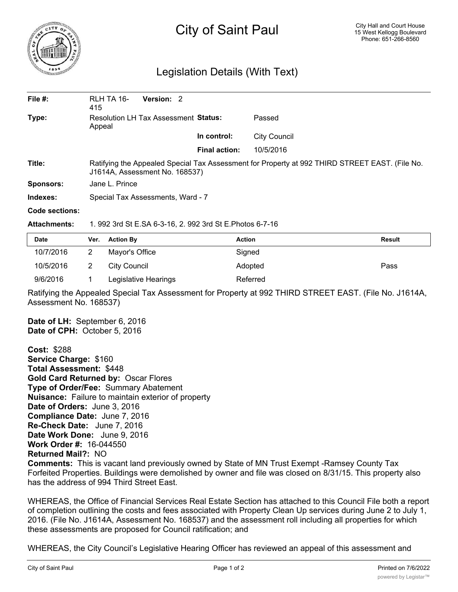

## City of Saint Paul

## Legislation Details (With Text)

| File $#$ :       | RLH TA 16-<br>415                                                                                                                | Version: 2 |                      |                     |  |  |
|------------------|----------------------------------------------------------------------------------------------------------------------------------|------------|----------------------|---------------------|--|--|
| Type:            | Resolution LH Tax Assessment Status:<br>Appeal                                                                                   |            |                      | Passed              |  |  |
|                  |                                                                                                                                  |            | In control:          | <b>City Council</b> |  |  |
|                  |                                                                                                                                  |            | <b>Final action:</b> | 10/5/2016           |  |  |
| Title:           | Ratifying the Appealed Special Tax Assessment for Property at 992 THIRD STREET EAST. (File No.<br>J1614A, Assessment No. 168537) |            |                      |                     |  |  |
| <b>Sponsors:</b> | Jane L. Prince                                                                                                                   |            |                      |                     |  |  |
| Indexes:         | Special Tax Assessments, Ward - 7                                                                                                |            |                      |                     |  |  |
| Code sections:   |                                                                                                                                  |            |                      |                     |  |  |

**Attachments:** 1. 992 3rd St E.SA 6-3-16, 2. 992 3rd St E.Photos 6-7-16

| Date      | Ver. | <b>Action By</b>     | Action   | <b>Result</b> |
|-----------|------|----------------------|----------|---------------|
| 10/7/2016 |      | Mayor's Office       | Signed   |               |
| 10/5/2016 |      | City Council         | Adopted  | Pass          |
| 9/6/2016  |      | Legislative Hearings | Referred |               |

Ratifying the Appealed Special Tax Assessment for Property at 992 THIRD STREET EAST. (File No. J1614A, Assessment No. 168537)

**Date of LH:** September 6, 2016 **Date of CPH:** October 5, 2016

**Cost:** \$288 **Service Charge:** \$160 **Total Assessment:** \$448 **Gold Card Returned by:** Oscar Flores **Type of Order/Fee:** Summary Abatement **Nuisance:** Failure to maintain exterior of property **Date of Orders:** June 3, 2016 **Compliance Date:** June 7, 2016 **Re-Check Date:** June 7, 2016 **Date Work Done:** June 9, 2016 **Work Order #:** 16-044550 **Returned Mail?:** NO **Comments:** This is vacant land previously owned by State of MN Trust Exempt -Ramsey County Tax Forfeited Properties. Buildings were demolished by owner and file was closed on 8/31/15. This property also has the address of 994 Third Street East.

WHEREAS, the Office of Financial Services Real Estate Section has attached to this Council File both a report of completion outlining the costs and fees associated with Property Clean Up services during June 2 to July 1, 2016. (File No. J1614A, Assessment No. 168537) and the assessment roll including all properties for which these assessments are proposed for Council ratification; and

WHEREAS, the City Council's Legislative Hearing Officer has reviewed an appeal of this assessment and